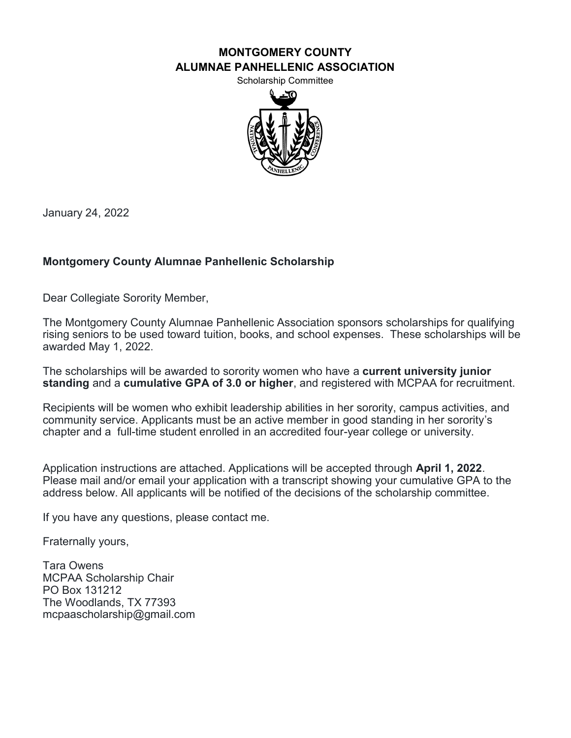#### **MONTGOMERY COUNTY ALUMNAE PANHELLENIC ASSOCIATION**

Scholarship Committee



January 24, 2022

## **Montgomery County Alumnae Panhellenic Scholarship**

Dear Collegiate Sorority Member,

The Montgomery County Alumnae Panhellenic Association sponsors scholarships for qualifying rising seniors to be used toward tuition, books, and school expenses. These scholarships will be awarded May 1, 2022.

The scholarships will be awarded to sorority women who have a **current university junior standing** and a **cumulative GPA of 3.0 or higher**, and registered with MCPAA for recruitment.

Recipients will be women who exhibit leadership abilities in her sorority, campus activities, and community service. Applicants must be an active member in good standing in her sorority's chapter and a full-time student enrolled in an accredited four-year college or university.

Application instructions are attached. Applications will be accepted through **April 1, 2022**. Please mail and/or email your application with a transcript showing your cumulative GPA to the address below. All applicants will be notified of the decisions of the scholarship committee.

If you have any questions, please contact me.

Fraternally yours,

Tara Owens MCPAA Scholarship Chair PO Box 131212 The Woodlands, TX 77393 mcpaascholarship@gmail.com